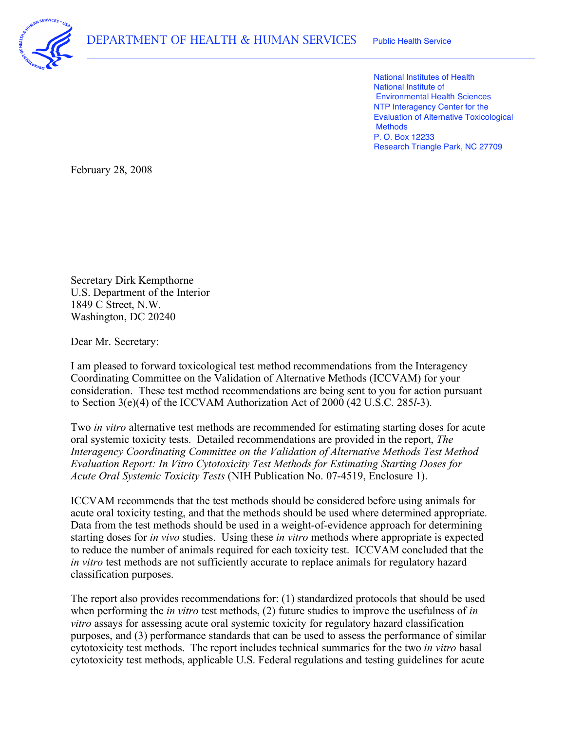

 National Institutes of Health National Institute of Environmental Health Sciences NTP Interagency Center for the Evaluation of Alternative Toxicological P. O. Box 12233 Research Triangle Park, NC 27709 **Methods** 

February 28, 2008

 U.S. Department of the Interior 1849 C Street, N.W. Washington, DC 20240 Secretary Dirk Kempthorne

Dear Mr. Secretary:

 I am pleased to forward toxicological test method recommendations from the Interagency Coordinating Committee on the Validation of Alternative Methods (ICCVAM) for your consideration. These test method recommendations are being sent to you for action pursuant to Section 3(e)(4) of the ICCVAM Authorization Act of 2000 (42 U.S.C. 285*l*-3).

 Two *in vitro* alternative test methods are recommended for estimating starting doses for acute oral systemic toxicity tests. Detailed recommendations are provided in the report, *The Interagency Coordinating Committee on the Validation of Alternative Methods Test Method Evaluation Report: In Vitro Cytotoxicity Test Methods for Estimating Starting Doses for Acute Oral Systemic Toxicity Tests* (NIH Publication No. 07-4519, Enclosure 1).

 ICCVAM recommends that the test methods should be considered before using animals for acute oral toxicity testing, and that the methods should be used where determined appropriate. Data from the test methods should be used in a weight-of-evidence approach for determining starting doses for *in vivo* studies. Using these *in vitro* methods where appropriate is expected to reduce the number of animals required for each toxicity test. ICCVAM concluded that the *in vitro* test methods are not sufficiently accurate to replace animals for regulatory hazard classification purposes.

 The report also provides recommendations for: (1) standardized protocols that should be used when performing the *in vitro* test methods, (2) future studies to improve the usefulness of *in vitro* assays for assessing acute oral systemic toxicity for regulatory hazard classification purposes, and (3) performance standards that can be used to assess the performance of similar cytotoxicity test methods. The report includes technical summaries for the two *in vitro* basal cytotoxicity test methods, applicable U.S. Federal regulations and testing guidelines for acute